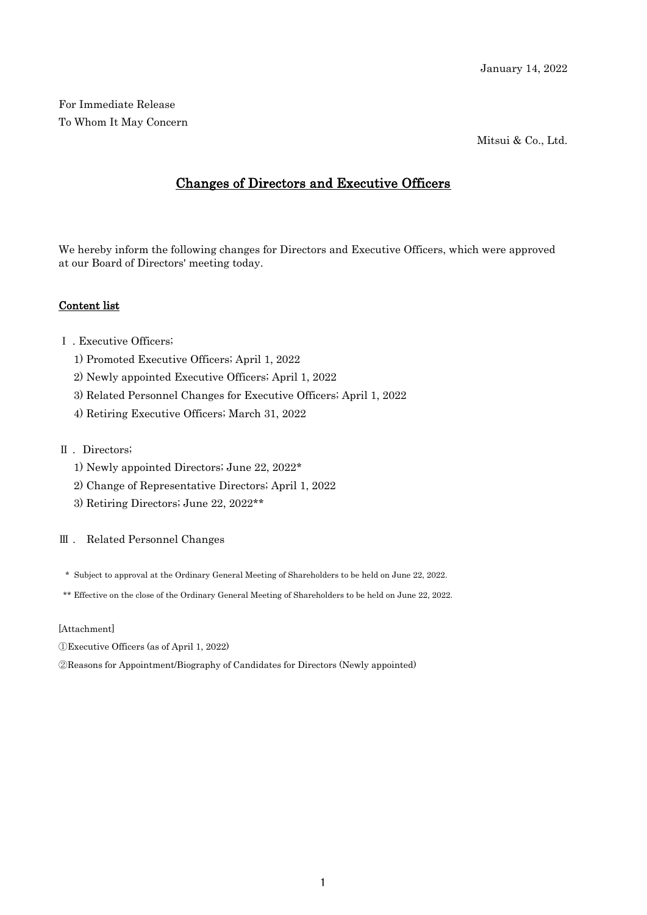For Immediate Release To Whom It May Concern

Mitsui & Co., Ltd.

# Changes of Directors and Executive Officers

We hereby inform the following changes for Directors and Executive Officers, which were approved at our Board of Directors' meeting today.

## Content list

- Ⅰ . Executive Officers;
	- 1) Promoted Executive Officers; April 1, 2022
	- 2) Newly appointed Executive Officers; April 1, 2022
	- 3) Related Personnel Changes for Executive Officers; April 1, 2022
	- 4) Retiring Executive Officers; March 31, 2022

### Ⅱ . Directors;

- 1) Newly appointed Directors; June 22, 2022\*
- 2) Change of Representative Directors; April 1, 2022
- 3) Retiring Directors; June 22, 2022\*\*

#### Ⅲ . Related Personnel Changes

- \* Subject to approval at the Ordinary General Meeting of Shareholders to be held on June 22, 2022.
- \*\* Effective on the close of the Ordinary General Meeting of Shareholders to be held on June 22, 2022.

#### [Attachment]

- ①Executive Officers (as of April 1, 2022)
- ②Reasons for Appointment/Biography of Candidates for Directors (Newly appointed)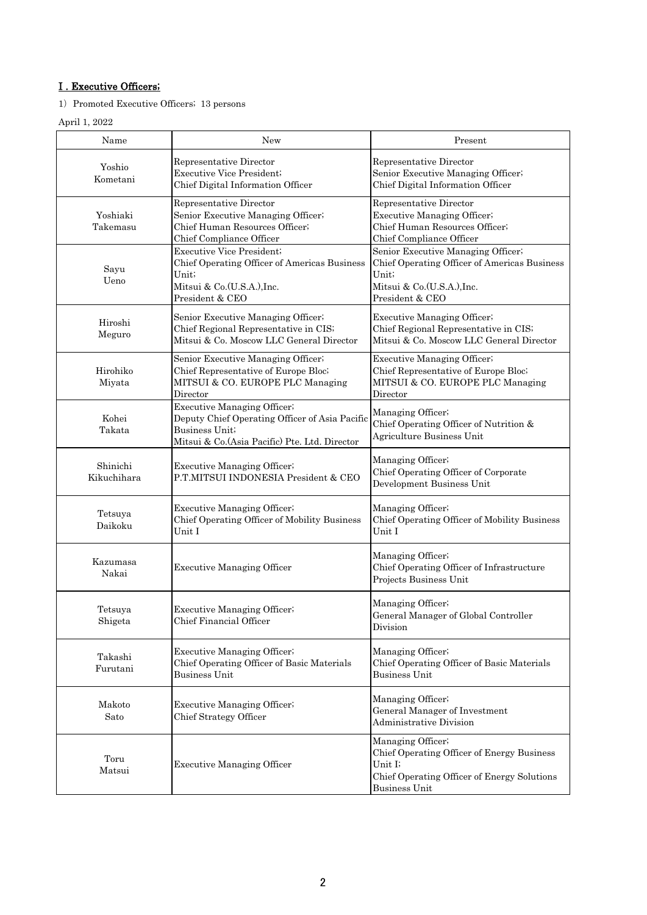# I . Executive Officers;

1) Promoted Executive Officers; 13 persons

# April 1, 2022

| Name                    | <b>New</b>                                                                                                                                                | Present                                                                                                                                      |
|-------------------------|-----------------------------------------------------------------------------------------------------------------------------------------------------------|----------------------------------------------------------------------------------------------------------------------------------------------|
| Yoshio<br>Kometani      | Representative Director<br>Executive Vice President;<br>Chief Digital Information Officer                                                                 | Representative Director<br>Senior Executive Managing Officer;<br>Chief Digital Information Officer                                           |
| Yoshiaki<br>Takemasu    | Representative Director<br>Senior Executive Managing Officer;<br>Chief Human Resources Officer;<br>Chief Compliance Officer                               | Representative Director<br>Executive Managing Officer;<br>Chief Human Resources Officer;<br>Chief Compliance Officer                         |
| Sayu<br>Ueno            | <b>Executive Vice President:</b><br>Chief Operating Officer of Americas Business<br>Unit;<br>Mitsui & Co.(U.S.A.), Inc.<br>President & CEO                | Senior Executive Managing Officer;<br>Chief Operating Officer of Americas Business<br>Unit;<br>Mitsui & Co.(U.S.A.), Inc.<br>President & CEO |
| Hiroshi<br>Meguro       | Senior Executive Managing Officer;<br>Chief Regional Representative in CIS;<br>Mitsui & Co. Moscow LLC General Director                                   | Executive Managing Officer;<br>Chief Regional Representative in CIS;<br>Mitsui & Co. Moscow LLC General Director                             |
| Hirohiko<br>Miyata      | Senior Executive Managing Officer;<br>Chief Representative of Europe Bloc;<br>MITSUI & CO. EUROPE PLC Managing<br>Director                                | <b>Executive Managing Officer</b> ;<br>Chief Representative of Europe Bloc;<br>MITSUI & CO. EUROPE PLC Managing<br>Director                  |
| Kohei<br>Takata         | <b>Executive Managing Officer</b> ;<br>Deputy Chief Operating Officer of Asia Pacific<br>Business Unit;<br>Mitsui & Co. (Asia Pacific) Pte. Ltd. Director | Managing Officer;<br>Chief Operating Officer of Nutrition &<br>Agriculture Business Unit                                                     |
| Shinichi<br>Kikuchihara | Executive Managing Officer;<br>P.T.MITSUI INDONESIA President & CEO                                                                                       | Managing Officer;<br>Chief Operating Officer of Corporate<br>Development Business Unit                                                       |
| Tetsuya<br>Daikoku      | Executive Managing Officer;<br>Chief Operating Officer of Mobility Business<br>Unit I                                                                     | Managing Officer;<br>Chief Operating Officer of Mobility Business<br>Unit I                                                                  |
| Kazumasa<br>Nakai       | <b>Executive Managing Officer</b>                                                                                                                         | Managing Officer;<br>Chief Operating Officer of Infrastructure<br>Projects Business Unit                                                     |
| Tetsuya<br>Shigeta      | Executive Managing Officer;<br>Chief Financial Officer                                                                                                    | Managing Officer;<br>General Manager of Global Controller<br>Division                                                                        |
| Takashi<br>Furutani     | Executive Managing Officer;<br>Chief Operating Officer of Basic Materials<br><b>Business Unit</b>                                                         | Managing Officer;<br>Chief Operating Officer of Basic Materials<br><b>Business Unit</b>                                                      |
| Makoto<br>Sato          | <b>Executive Managing Officer</b> ;<br>Chief Strategy Officer                                                                                             | Managing Officer;<br>General Manager of Investment<br><b>Administrative Division</b>                                                         |
| Toru<br>Matsui          | <b>Executive Managing Officer</b>                                                                                                                         | Managing Officer;<br>Chief Operating Officer of Energy Business<br>Unit I;<br>Chief Operating Officer of Energy Solutions<br>Business Unit   |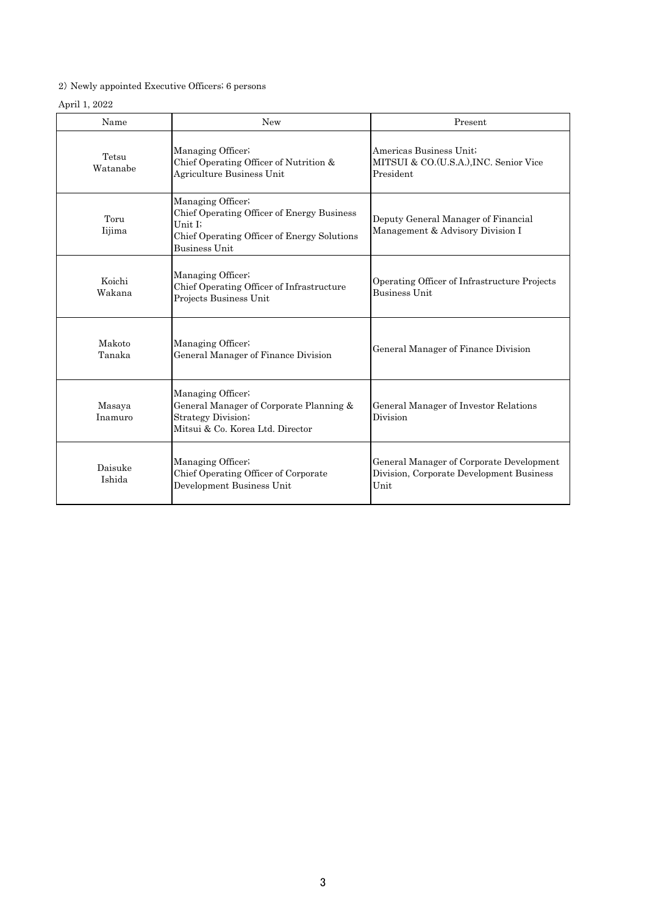# 2) Newly appointed Executive Officers; 6 persons

### April 1, 2022

| Name              | <b>New</b>                                                                                                                                        | Present                                                                                      |
|-------------------|---------------------------------------------------------------------------------------------------------------------------------------------------|----------------------------------------------------------------------------------------------|
| Tetsu<br>Watanabe | Managing Officer;<br>Chief Operating Officer of Nutrition &<br>Agriculture Business Unit                                                          | Americas Business Unit;<br>MITSUI & CO.(U.S.A.), INC. Senior Vice<br>President               |
| Toru<br>Iijima    | Managing Officer;<br>Chief Operating Officer of Energy Business<br>Unit I;<br>Chief Operating Officer of Energy Solutions<br><b>Business Unit</b> | Deputy General Manager of Financial<br>Management & Advisory Division I                      |
| Koichi<br>Wakana  | Managing Officer;<br>Chief Operating Officer of Infrastructure<br>Projects Business Unit                                                          | Operating Officer of Infrastructure Projects<br><b>Business Unit</b>                         |
| Makoto<br>Tanaka  | Managing Officer;<br>General Manager of Finance Division                                                                                          | General Manager of Finance Division                                                          |
| Masaya<br>Inamuro | Managing Officer;<br>General Manager of Corporate Planning &<br><b>Strategy Division</b> ;<br>Mitsui & Co. Korea Ltd. Director                    | General Manager of Investor Relations<br>Division                                            |
| Daisuke<br>Ishida | Managing Officer;<br>Chief Operating Officer of Corporate<br>Development Business Unit                                                            | General Manager of Corporate Development<br>Division, Corporate Development Business<br>Unit |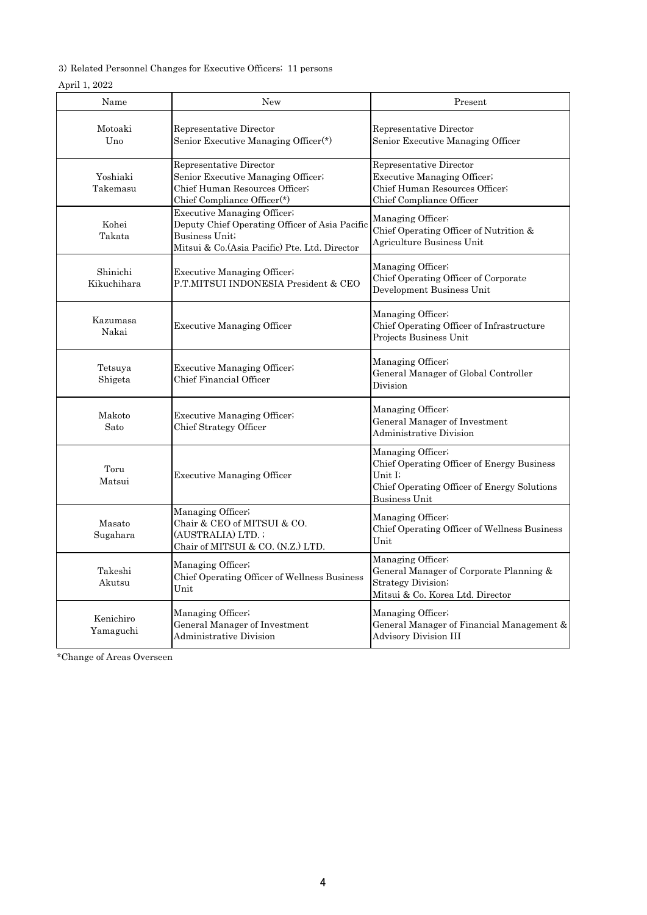3) Related Personnel Changes for Executive Officers; 11 persons

# April 1, 2022

| Name                    | <b>New</b>                                                                                                                                        | Present                                                                                                                                    |
|-------------------------|---------------------------------------------------------------------------------------------------------------------------------------------------|--------------------------------------------------------------------------------------------------------------------------------------------|
| Motoaki<br>Uno          | Representative Director<br>Senior Executive Managing Officer <sup>(*)</sup>                                                                       | Representative Director<br>Senior Executive Managing Officer                                                                               |
| Yoshiaki<br>Takemasu    | Representative Director<br>Senior Executive Managing Officer;<br>Chief Human Resources Officer;<br>Chief Compliance Officer(*)                    | Representative Director<br>Executive Managing Officer;<br>Chief Human Resources Officer;<br>Chief Compliance Officer                       |
| Kohei<br>Takata         | Executive Managing Officer;<br>Deputy Chief Operating Officer of Asia Pacific<br>Business Unit;<br>Mitsui & Co. (Asia Pacific) Pte. Ltd. Director | Managing Officer;<br>Chief Operating Officer of Nutrition &<br>Agriculture Business Unit                                                   |
| Shinichi<br>Kikuchihara | Executive Managing Officer;<br>P.T.MITSUI INDONESIA President & CEO                                                                               | Managing Officer;<br>Chief Operating Officer of Corporate<br>Development Business Unit                                                     |
| Kazumasa<br>Nakai       | <b>Executive Managing Officer</b>                                                                                                                 | Managing Officer;<br>Chief Operating Officer of Infrastructure<br>Projects Business Unit                                                   |
| Tetsuya<br>Shigeta      | Executive Managing Officer.<br>Chief Financial Officer                                                                                            | Managing Officer;<br>General Manager of Global Controller<br>Division                                                                      |
| Makoto<br>Sato          | Executive Managing Officer;<br>Chief Strategy Officer                                                                                             | Managing Officer;<br>General Manager of Investment<br><b>Administrative Division</b>                                                       |
| Toru<br>Matsui          | <b>Executive Managing Officer</b>                                                                                                                 | Managing Officer;<br>Chief Operating Officer of Energy Business<br>Unit I;<br>Chief Operating Officer of Energy Solutions<br>Business Unit |
| Masato<br>Sugahara      | Managing Officer;<br>Chair & CEO of MITSUI & CO.<br>(AUSTRALIA) LTD.;<br>Chair of MITSUI & CO. (N.Z.) LTD.                                        | Managing Officer;<br>Chief Operating Officer of Wellness Business<br>Unit                                                                  |
| Takeshi<br>Akutsu       | Managing Officer;<br>Chief Operating Officer of Wellness Business<br>Unit                                                                         | Managing Officer;<br>General Manager of Corporate Planning &<br><b>Strategy Division</b> ;<br>Mitsui & Co. Korea Ltd. Director             |
| Kenichiro<br>Yamaguchi  | Managing Officer,<br>General Manager of Investment<br><b>Administrative Division</b>                                                              | Managing Officer;<br>General Manager of Financial Management &<br><b>Advisory Division III</b>                                             |

\*Change of Areas Overseen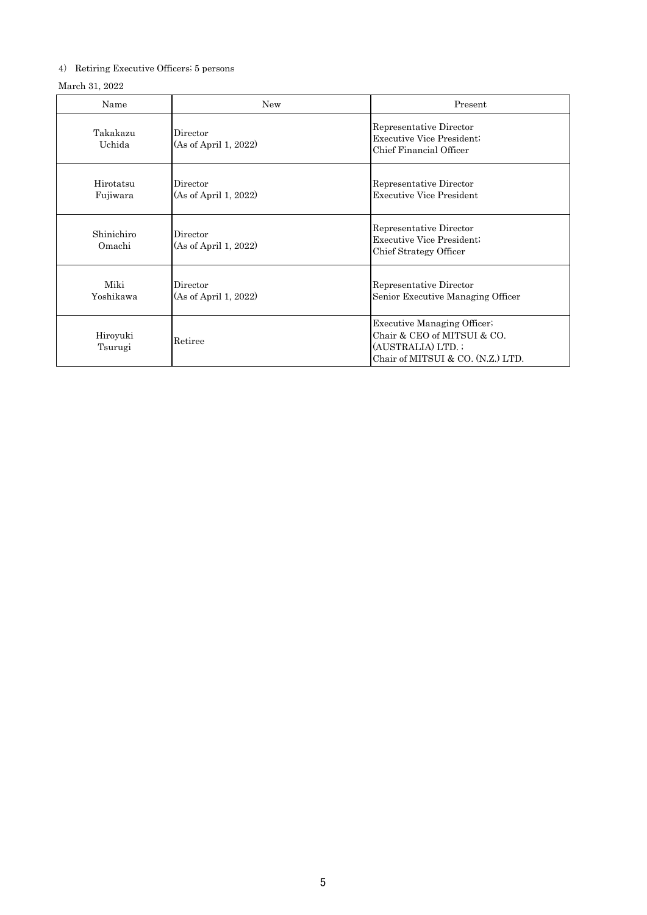# 4) Retiring Executive Officers; 5 persons

### March 31, 2022

| Name                  | <b>New</b>                        | Present                                                                                                                    |
|-----------------------|-----------------------------------|----------------------------------------------------------------------------------------------------------------------------|
| Takakazu<br>Uchida    | Director<br>(As of April 1, 2022) | Representative Director<br>Executive Vice President:<br>Chief Financial Officer                                            |
| Hirotatsu<br>Fujiwara | Director<br>(As of April 1, 2022) | Representative Director<br><b>Executive Vice President</b>                                                                 |
| Shinichiro<br>Omachi  | Director<br>(As of April 1, 2022) | Representative Director<br>Executive Vice President:<br>Chief Strategy Officer                                             |
| Miki<br>Yoshikawa     | Director<br>(As of April 1, 2022) | Representative Director<br>Senior Executive Managing Officer                                                               |
| Hiroyuki<br>Tsurugi   | Retiree                           | <b>Executive Managing Officer</b><br>Chair & CEO of MITSUI & CO.<br>(AUSTRALIA) LTD.;<br>Chair of MITSUI & CO. (N.Z.) LTD. |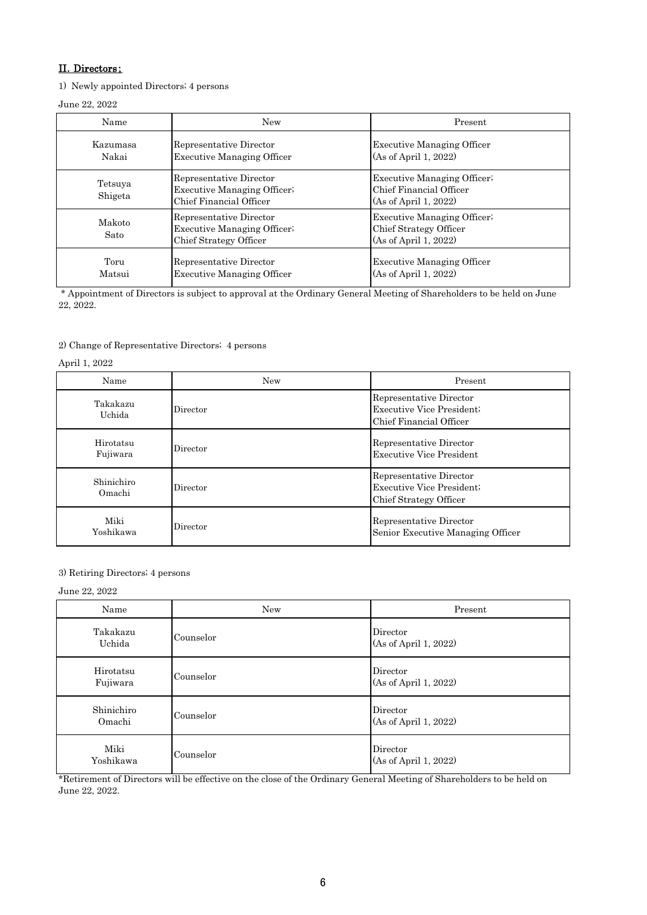# II.Directors;

1) Newly appointed Directors; 4 persons

June 22, 2022

| Name               | New                                                                                     | Present                                                                               |
|--------------------|-----------------------------------------------------------------------------------------|---------------------------------------------------------------------------------------|
| Kazumasa<br>Nakai  | Representative Director<br><b>Executive Managing Officer</b>                            | <b>Executive Managing Officer</b><br>(As of April 1, 2022)                            |
| Tetsuya<br>Shigeta | Representative Director<br><b>Executive Managing Officer</b><br>Chief Financial Officer | <b>Executive Managing Officer</b><br>Chief Financial Officer<br>(As of April 1, 2022) |
| Makoto<br>Sato     | Representative Director<br><b>Executive Managing Officer</b><br>Chief Strategy Officer  | <b>Executive Managing Officer</b><br>Chief Strategy Officer<br>(As of April 1, 2022)  |
| Toru<br>Matsui     | Representative Director<br><b>Executive Managing Officer</b>                            | <b>Executive Managing Officer</b><br>(As of April 1, 2022)                            |

 \* Appointment of Directors is subject to approval at the Ordinary General Meeting of Shareholders to be held on June 22, 2022.

#### 2) Change of Representative Directors; 4 persons

#### April 1, 2022

| Name                  | New      | Present                                                                               |
|-----------------------|----------|---------------------------------------------------------------------------------------|
| Takakazu<br>Uchida    | Director | Representative Director<br><b>Executive Vice President</b><br>Chief Financial Officer |
| Hirotatsu<br>Fujiwara | Director | Representative Director<br>Executive Vice President                                   |
| Shinichiro<br>Omachi  | Director | Representative Director<br>Executive Vice President;<br>Chief Strategy Officer        |
| Miki<br>Yoshikawa     | Director | Representative Director<br>Senior Executive Managing Officer                          |

#### 3) Retiring Directors; 4 persons

#### June 22, 2022

| Name                  | <b>New</b> | Present                           |
|-----------------------|------------|-----------------------------------|
| Takakazu<br>Uchida    | Counselor  | Director<br>(As of April 1, 2022) |
| Hirotatsu<br>Fujiwara | Counselor  | Director<br>(As of April 1, 2022) |
| Shinichiro<br>Omachi  | Counselor  | Director<br>(As of April 1, 2022) |
| Miki<br>Yoshikawa     | Counselor  | Director<br>(As of April 1, 2022) |

\*Retirement of Directors will be effective on the close of the Ordinary General Meeting of Shareholders to be held on June 22, 2022.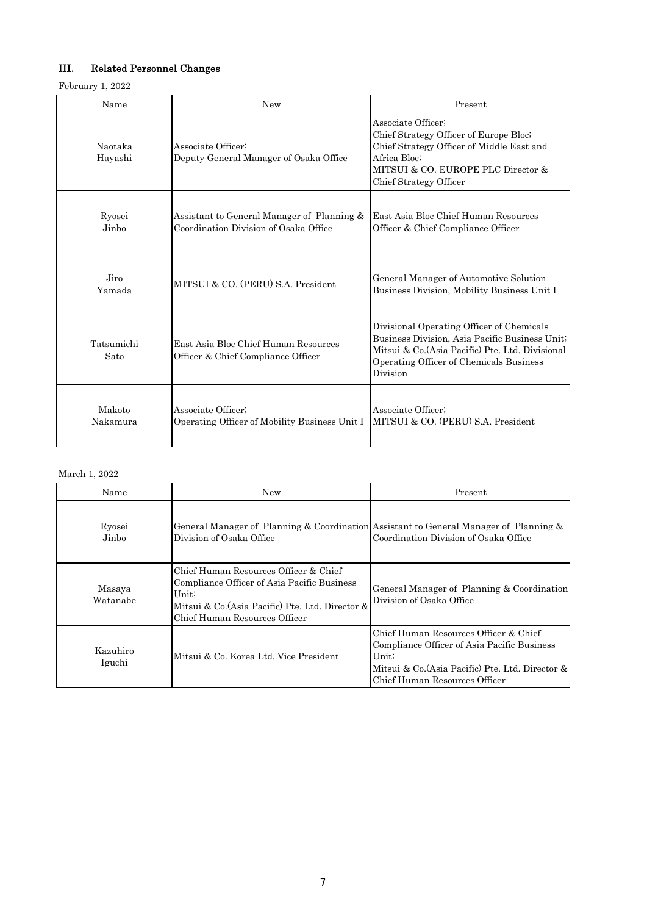# III. Related Personnel Changes

February 1, 2022

| Name               | New                                                                                 | Present                                                                                                                                                                                                |
|--------------------|-------------------------------------------------------------------------------------|--------------------------------------------------------------------------------------------------------------------------------------------------------------------------------------------------------|
| Naotaka<br>Hayashi | Associate Officer:<br>Deputy General Manager of Osaka Office                        | Associate Officer;<br>Chief Strategy Officer of Europe Bloc.<br>Chief Strategy Officer of Middle East and<br>Africa Bloc;<br>MITSUI & CO. EUROPE PLC Director &<br>Chief Strategy Officer              |
| Ryosei<br>Jinho    | Assistant to General Manager of Planning &<br>Coordination Division of Osaka Office | East Asia Bloc Chief Human Resources<br>Officer & Chief Compliance Officer                                                                                                                             |
| Jiro<br>Yamada     | MITSUI & CO. (PERU) S.A. President                                                  | General Manager of Automotive Solution<br>Business Division, Mobility Business Unit I                                                                                                                  |
| Tatsumichi<br>Sato | East Asia Bloc Chief Human Resources<br>Officer & Chief Compliance Officer          | Divisional Operating Officer of Chemicals<br>Business Division, Asia Pacific Business Unit;<br>Mitsui & Co. (Asia Pacific) Pte. Ltd. Divisional<br>Operating Officer of Chemicals Business<br>Division |
| Makoto<br>Nakamura | Associate Officer:<br>Operating Officer of Mobility Business Unit I                 | Associate Officer:<br>MITSUI & CO. (PERU) S.A. President                                                                                                                                               |

### March 1, 2022

| Name               | <b>New</b>                                                                                                                                                                         | Present                                                                                                                                                                            |
|--------------------|------------------------------------------------------------------------------------------------------------------------------------------------------------------------------------|------------------------------------------------------------------------------------------------------------------------------------------------------------------------------------|
| Ryosei<br>Jinho    | General Manager of Planning & Coordination Assistant to General Manager of Planning &<br>Division of Osaka Office                                                                  | Coordination Division of Osaka Office                                                                                                                                              |
| Masaya<br>Watanabe | Chief Human Resources Officer & Chief<br>Compliance Officer of Asia Pacific Business<br>Unit;<br>Mitsui & Co. (Asia Pacific) Pte. Ltd. Director &<br>Chief Human Resources Officer | General Manager of Planning & Coordination<br>Division of Osaka Office                                                                                                             |
| Kazuhiro<br>Iguchi | Mitsui & Co. Korea Ltd. Vice President                                                                                                                                             | Chief Human Resources Officer & Chief<br>Compliance Officer of Asia Pacific Business<br>Unit;<br>Mitsui & Co. (Asia Pacific) Pte. Ltd. Director &<br>Chief Human Resources Officer |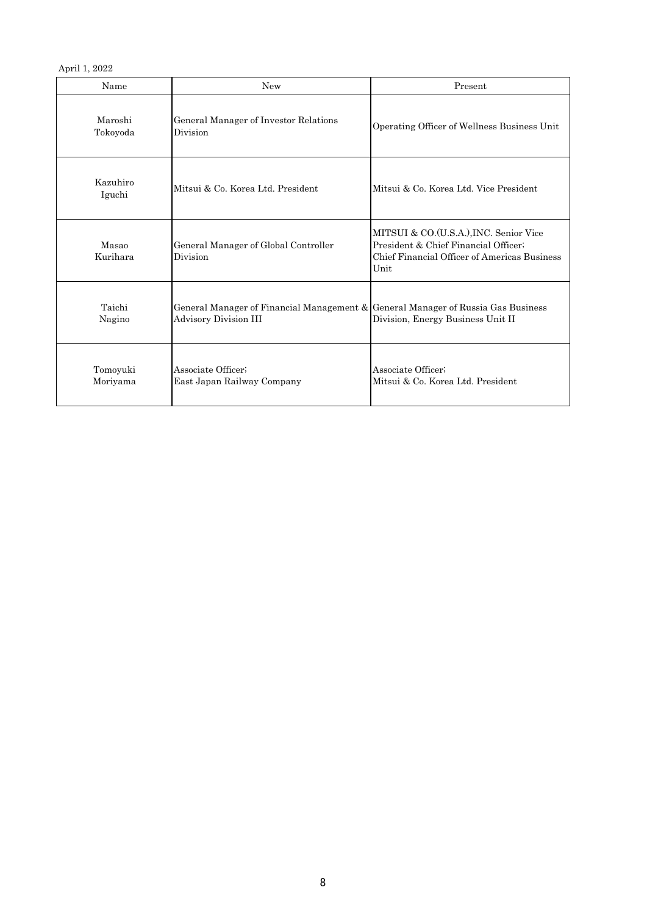April 1, 2022

| Name                 | <b>New</b>                                                                                                | Present                                                                                                                                |
|----------------------|-----------------------------------------------------------------------------------------------------------|----------------------------------------------------------------------------------------------------------------------------------------|
| Maroshi<br>Tokoyoda  | General Manager of Investor Relations<br>Division                                                         | Operating Officer of Wellness Business Unit                                                                                            |
| Kazuhiro<br>Iguchi   | Mitsui & Co. Korea Ltd. President                                                                         | Mitsui & Co. Korea Ltd. Vice President                                                                                                 |
| Masao<br>Kurihara    | General Manager of Global Controller<br>Division                                                          | MITSUI & CO.(U.S.A.), INC. Senior Vice<br>President & Chief Financial Officer;<br>Chief Financial Officer of Americas Business<br>Unit |
| Taichi<br>Nagino     | General Manager of Financial Management & General Manager of Russia Gas Business<br>Advisory Division III | Division, Energy Business Unit II                                                                                                      |
| Tomoyuki<br>Moriyama | Associate Officer:<br>East Japan Railway Company                                                          | Associate Officer;<br>Mitsui & Co. Korea Ltd. President                                                                                |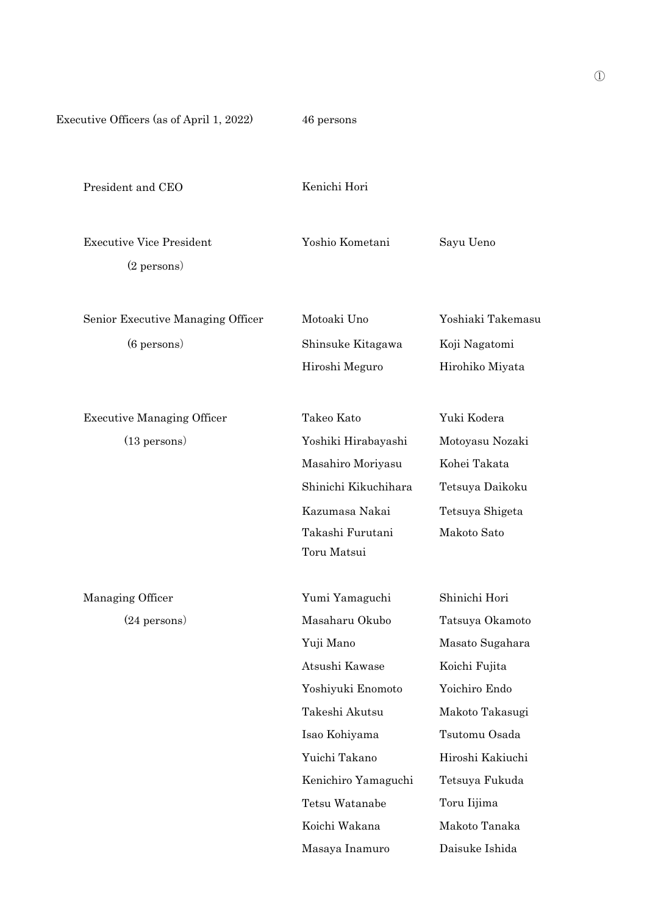Executive Officers (as of April 1, 2022) 46 persons

President and CEO Kenichi Hori

Executive Vice President Yoshio Kometani Sayu Ueno (2 persons)

Senior Executive Managing Officer Motoaki Uno Yoshiaki Takemasu (6 persons) Shinsuke Kitagawa Koji Nagatomi

Executive Managing Officer Takeo Kato Yuki Kodera

(13 persons) Yoshiki Hirabayashi Motoyasu Nozaki Masahiro Moriyasu Kohei Takata Shinichi Kikuchihara Tetsuya Daikoku Kazumasa Nakai Tetsuya Shigeta Takashi Furutani Makoto Sato Toru Matsui

Managing Officer Yumi Yamaguchi Shinichi Hori (24 persons) Masaharu Okubo Tatsuya Okamoto Yuji Mano Masato Sugahara Atsushi Kawase Koichi Fujita Yoshiyuki Enomoto Yoichiro Endo Takeshi Akutsu Makoto Takasugi Isao Kohiyama Tsutomu Osada Yuichi Takano Hiroshi Kakiuchi Kenichiro Yamaguchi Tetsuya Fukuda Tetsu Watanabe Toru Iijima Koichi Wakana Makoto Tanaka Masaya Inamuro Daisuke Ishida

Hiroshi Meguro Hirohiko Miyata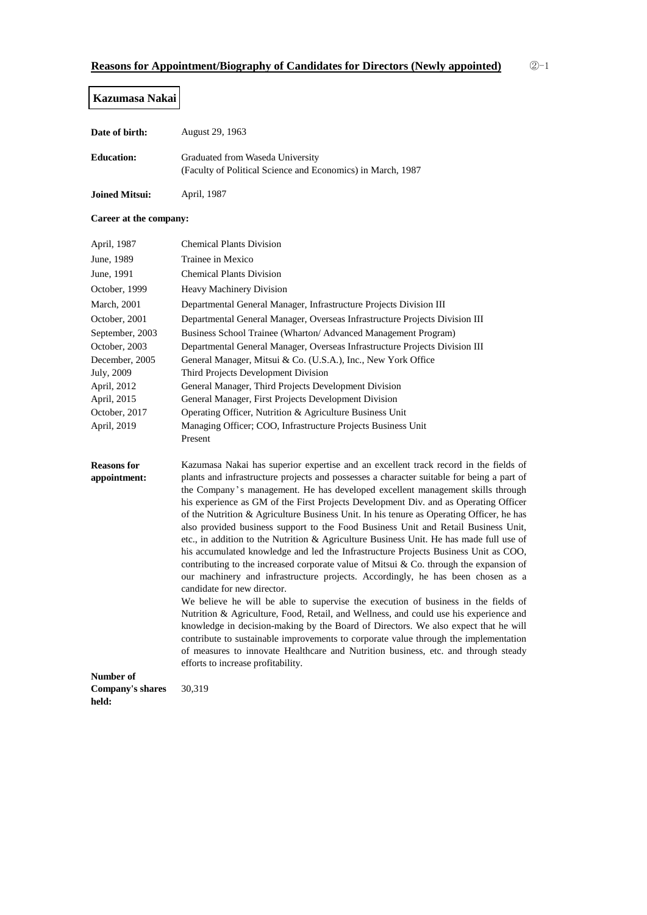### **Kazumasa Nakai**

| Date of birth:    | August 29, 1963                                                                                 |
|-------------------|-------------------------------------------------------------------------------------------------|
| <b>Education:</b> | Graduated from Waseda University<br>(Faculty of Political Science and Economics) in March, 1987 |

**Joined Mitsui:** April, 1987

#### **Career at the company:**

| April, 1987                        | <b>Chemical Plants Division</b>                                                                                                                                                                                                                                                                                                                                                                                                                                                                                                                                                                                                                                                                                                                                                                                                                                                                                                                                                                                                                                                                                                                                                                                                                                                                                                                                                                                                       |
|------------------------------------|---------------------------------------------------------------------------------------------------------------------------------------------------------------------------------------------------------------------------------------------------------------------------------------------------------------------------------------------------------------------------------------------------------------------------------------------------------------------------------------------------------------------------------------------------------------------------------------------------------------------------------------------------------------------------------------------------------------------------------------------------------------------------------------------------------------------------------------------------------------------------------------------------------------------------------------------------------------------------------------------------------------------------------------------------------------------------------------------------------------------------------------------------------------------------------------------------------------------------------------------------------------------------------------------------------------------------------------------------------------------------------------------------------------------------------------|
| June, 1989                         | Trainee in Mexico                                                                                                                                                                                                                                                                                                                                                                                                                                                                                                                                                                                                                                                                                                                                                                                                                                                                                                                                                                                                                                                                                                                                                                                                                                                                                                                                                                                                                     |
| June, 1991                         | <b>Chemical Plants Division</b>                                                                                                                                                                                                                                                                                                                                                                                                                                                                                                                                                                                                                                                                                                                                                                                                                                                                                                                                                                                                                                                                                                                                                                                                                                                                                                                                                                                                       |
| October, 1999                      | <b>Heavy Machinery Division</b>                                                                                                                                                                                                                                                                                                                                                                                                                                                                                                                                                                                                                                                                                                                                                                                                                                                                                                                                                                                                                                                                                                                                                                                                                                                                                                                                                                                                       |
| March, 2001                        | Departmental General Manager, Infrastructure Projects Division III                                                                                                                                                                                                                                                                                                                                                                                                                                                                                                                                                                                                                                                                                                                                                                                                                                                                                                                                                                                                                                                                                                                                                                                                                                                                                                                                                                    |
| October, 2001                      | Departmental General Manager, Overseas Infrastructure Projects Division III                                                                                                                                                                                                                                                                                                                                                                                                                                                                                                                                                                                                                                                                                                                                                                                                                                                                                                                                                                                                                                                                                                                                                                                                                                                                                                                                                           |
| September, 2003                    | Business School Trainee (Wharton/ Advanced Management Program)                                                                                                                                                                                                                                                                                                                                                                                                                                                                                                                                                                                                                                                                                                                                                                                                                                                                                                                                                                                                                                                                                                                                                                                                                                                                                                                                                                        |
| October, 2003                      | Departmental General Manager, Overseas Infrastructure Projects Division III                                                                                                                                                                                                                                                                                                                                                                                                                                                                                                                                                                                                                                                                                                                                                                                                                                                                                                                                                                                                                                                                                                                                                                                                                                                                                                                                                           |
| December, 2005                     | General Manager, Mitsui & Co. (U.S.A.), Inc., New York Office                                                                                                                                                                                                                                                                                                                                                                                                                                                                                                                                                                                                                                                                                                                                                                                                                                                                                                                                                                                                                                                                                                                                                                                                                                                                                                                                                                         |
| July, 2009                         | Third Projects Development Division                                                                                                                                                                                                                                                                                                                                                                                                                                                                                                                                                                                                                                                                                                                                                                                                                                                                                                                                                                                                                                                                                                                                                                                                                                                                                                                                                                                                   |
| April, 2012                        | General Manager, Third Projects Development Division                                                                                                                                                                                                                                                                                                                                                                                                                                                                                                                                                                                                                                                                                                                                                                                                                                                                                                                                                                                                                                                                                                                                                                                                                                                                                                                                                                                  |
| April, 2015                        | General Manager, First Projects Development Division                                                                                                                                                                                                                                                                                                                                                                                                                                                                                                                                                                                                                                                                                                                                                                                                                                                                                                                                                                                                                                                                                                                                                                                                                                                                                                                                                                                  |
| October, 2017                      | Operating Officer, Nutrition & Agriculture Business Unit                                                                                                                                                                                                                                                                                                                                                                                                                                                                                                                                                                                                                                                                                                                                                                                                                                                                                                                                                                                                                                                                                                                                                                                                                                                                                                                                                                              |
| April, 2019                        | Managing Officer; COO, Infrastructure Projects Business Unit                                                                                                                                                                                                                                                                                                                                                                                                                                                                                                                                                                                                                                                                                                                                                                                                                                                                                                                                                                                                                                                                                                                                                                                                                                                                                                                                                                          |
|                                    | Present                                                                                                                                                                                                                                                                                                                                                                                                                                                                                                                                                                                                                                                                                                                                                                                                                                                                                                                                                                                                                                                                                                                                                                                                                                                                                                                                                                                                                               |
| <b>Reasons for</b><br>appointment: | Kazumasa Nakai has superior expertise and an excellent track record in the fields of<br>plants and infrastructure projects and possesses a character suitable for being a part of<br>the Company's management. He has developed excellent management skills through<br>his experience as GM of the First Projects Development Div. and as Operating Officer<br>of the Nutrition & Agriculture Business Unit. In his tenure as Operating Officer, he has<br>also provided business support to the Food Business Unit and Retail Business Unit,<br>etc., in addition to the Nutrition & Agriculture Business Unit. He has made full use of<br>his accumulated knowledge and led the Infrastructure Projects Business Unit as COO,<br>contributing to the increased corporate value of Mitsui & Co. through the expansion of<br>our machinery and infrastructure projects. Accordingly, he has been chosen as a<br>candidate for new director.<br>We believe he will be able to supervise the execution of business in the fields of<br>Nutrition & Agriculture, Food, Retail, and Wellness, and could use his experience and<br>knowledge in decision-making by the Board of Directors. We also expect that he will<br>contribute to sustainable improvements to corporate value through the implementation<br>of measures to innovate Healthcare and Nutrition business, etc. and through steady<br>efforts to increase profitability. |

**Number of**

**Company's shares**

30,319

**held:**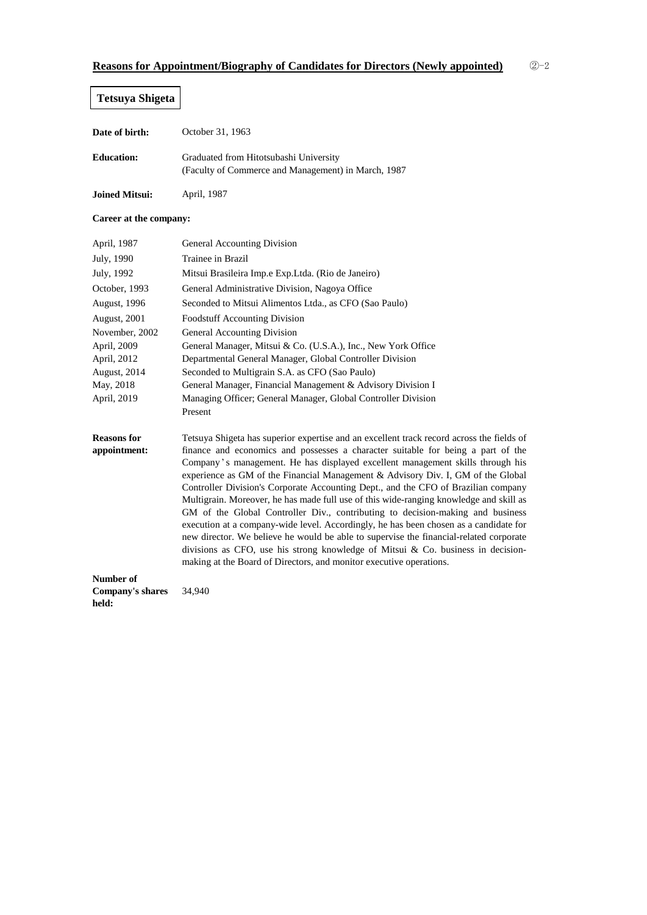# **Tetsuya Shigeta**

| Date of birth:    | October 31, 1963                                                                              |
|-------------------|-----------------------------------------------------------------------------------------------|
| <b>Education:</b> | Graduated from Hitotsubashi University<br>(Faculty of Commerce and Management) in March, 1987 |

**Joined Mitsui:** April, 1987

#### **Career at the company:**

| <b>General Accounting Division</b>                                                                                                                                                                                                                                                                                                                                                                                                                                                                                                                                                                                                                                                                                                                                                                                                                                                                                                                                    |
|-----------------------------------------------------------------------------------------------------------------------------------------------------------------------------------------------------------------------------------------------------------------------------------------------------------------------------------------------------------------------------------------------------------------------------------------------------------------------------------------------------------------------------------------------------------------------------------------------------------------------------------------------------------------------------------------------------------------------------------------------------------------------------------------------------------------------------------------------------------------------------------------------------------------------------------------------------------------------|
| Trainee in Brazil                                                                                                                                                                                                                                                                                                                                                                                                                                                                                                                                                                                                                                                                                                                                                                                                                                                                                                                                                     |
| Mitsui Brasileira Imp.e Exp.Ltda. (Rio de Janeiro)                                                                                                                                                                                                                                                                                                                                                                                                                                                                                                                                                                                                                                                                                                                                                                                                                                                                                                                    |
| General Administrative Division, Nagoya Office                                                                                                                                                                                                                                                                                                                                                                                                                                                                                                                                                                                                                                                                                                                                                                                                                                                                                                                        |
| Seconded to Mitsui Alimentos Ltda., as CFO (Sao Paulo)                                                                                                                                                                                                                                                                                                                                                                                                                                                                                                                                                                                                                                                                                                                                                                                                                                                                                                                |
| <b>Foodstuff Accounting Division</b>                                                                                                                                                                                                                                                                                                                                                                                                                                                                                                                                                                                                                                                                                                                                                                                                                                                                                                                                  |
| <b>General Accounting Division</b>                                                                                                                                                                                                                                                                                                                                                                                                                                                                                                                                                                                                                                                                                                                                                                                                                                                                                                                                    |
| General Manager, Mitsui & Co. (U.S.A.), Inc., New York Office                                                                                                                                                                                                                                                                                                                                                                                                                                                                                                                                                                                                                                                                                                                                                                                                                                                                                                         |
| Departmental General Manager, Global Controller Division                                                                                                                                                                                                                                                                                                                                                                                                                                                                                                                                                                                                                                                                                                                                                                                                                                                                                                              |
| Seconded to Multigrain S.A. as CFO (Sao Paulo)                                                                                                                                                                                                                                                                                                                                                                                                                                                                                                                                                                                                                                                                                                                                                                                                                                                                                                                        |
| General Manager, Financial Management & Advisory Division I                                                                                                                                                                                                                                                                                                                                                                                                                                                                                                                                                                                                                                                                                                                                                                                                                                                                                                           |
| Managing Officer; General Manager, Global Controller Division                                                                                                                                                                                                                                                                                                                                                                                                                                                                                                                                                                                                                                                                                                                                                                                                                                                                                                         |
| Present                                                                                                                                                                                                                                                                                                                                                                                                                                                                                                                                                                                                                                                                                                                                                                                                                                                                                                                                                               |
| Tetsuya Shigeta has superior expertise and an excellent track record across the fields of<br>finance and economics and possesses a character suitable for being a part of the<br>Company's management. He has displayed excellent management skills through his<br>experience as GM of the Financial Management & Advisory Div. I, GM of the Global<br>Controller Division's Corporate Accounting Dept., and the CFO of Brazilian company<br>Multigrain. Moreover, he has made full use of this wide-ranging knowledge and skill as<br>GM of the Global Controller Div., contributing to decision-making and business<br>execution at a company-wide level. Accordingly, he has been chosen as a candidate for<br>new director. We believe he would be able to supervise the financial-related corporate<br>divisions as CFO, use his strong knowledge of Mitsui $& Co.$ business in decision-<br>making at the Board of Directors, and monitor executive operations. |
|                                                                                                                                                                                                                                                                                                                                                                                                                                                                                                                                                                                                                                                                                                                                                                                                                                                                                                                                                                       |

**Number of Company's shares held:** 34,940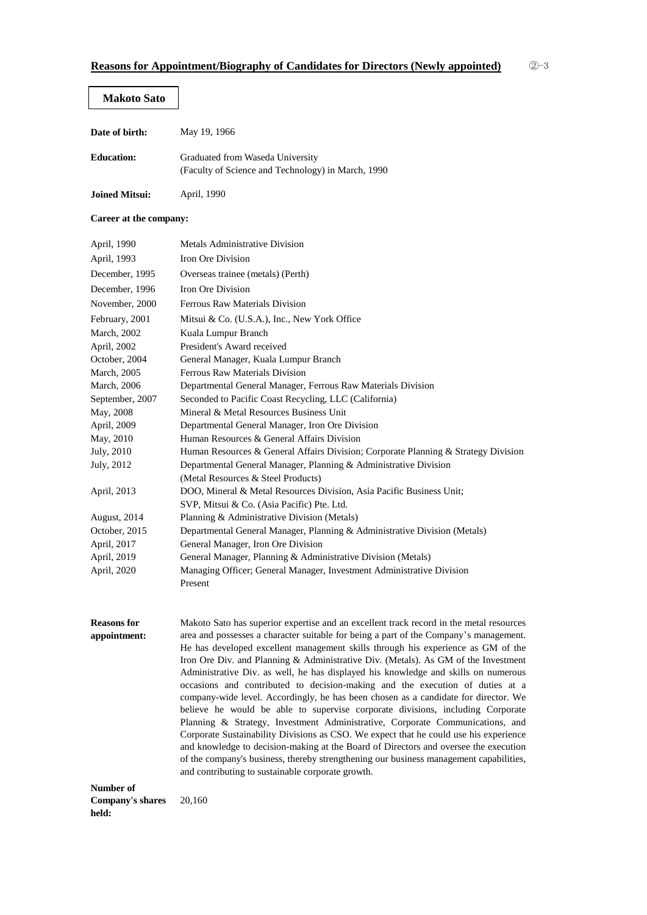#### **Makoto Sato**

| Date of birth:    | May 19, 1966                                                                           |
|-------------------|----------------------------------------------------------------------------------------|
| <b>Education:</b> | Graduated from Waseda University<br>(Faculty of Science and Technology) in March, 1990 |

**Joined Mitsui:** April, 1990

#### **Career at the company:**

| April, 1990         | Metals Administrative Division                                                     |  |
|---------------------|------------------------------------------------------------------------------------|--|
| April, 1993         | Iron Ore Division                                                                  |  |
| December, 1995      | Overseas trainee (metals) (Perth)                                                  |  |
| December, 1996      | Iron Ore Division                                                                  |  |
| November, 2000      | Ferrous Raw Materials Division                                                     |  |
| February, 2001      | Mitsui & Co. (U.S.A.), Inc., New York Office                                       |  |
| <b>March</b> , 2002 | Kuala Lumpur Branch                                                                |  |
| April, 2002         | President's Award received                                                         |  |
| October, 2004       | General Manager, Kuala Lumpur Branch                                               |  |
| March, 2005         | Ferrous Raw Materials Division                                                     |  |
| <b>March</b> , 2006 | Departmental General Manager, Ferrous Raw Materials Division                       |  |
| September, 2007     | Seconded to Pacific Coast Recycling, LLC (California)                              |  |
| May, 2008           | Mineral & Metal Resources Business Unit                                            |  |
| April, 2009         | Departmental General Manager, Iron Ore Division                                    |  |
| May, 2010           | Human Resources & General Affairs Division                                         |  |
| July, 2010          | Human Resources & General Affairs Division; Corporate Planning & Strategy Division |  |
| July, 2012          | Departmental General Manager, Planning & Administrative Division                   |  |
|                     | (Metal Resources & Steel Products)                                                 |  |
| April, 2013         | DOO, Mineral & Metal Resources Division, Asia Pacific Business Unit;               |  |
|                     | SVP, Mitsui & Co. (Asia Pacific) Pte. Ltd.                                         |  |
| August, 2014        | Planning & Administrative Division (Metals)                                        |  |
| October, 2015       | Departmental General Manager, Planning & Administrative Division (Metals)          |  |
| April, 2017         | General Manager, Iron Ore Division                                                 |  |
| April, 2019         | General Manager, Planning & Administrative Division (Metals)                       |  |
| April, 2020         | Managing Officer; General Manager, Investment Administrative Division              |  |
|                     | Present                                                                            |  |

**Reasons for appointment:** Makoto Sato has superior expertise and an excellent track record in the metal resources area and possesses a character suitable for being a part of the Company's management. He has developed excellent management skills through his experience as GM of the Iron Ore Div. and Planning & Administrative Div. (Metals). As GM of the Investment Administrative Div. as well, he has displayed his knowledge and skills on numerous occasions and contributed to decision-making and the execution of duties at a company-wide level. Accordingly, he has been chosen as a candidate for director. We believe he would be able to supervise corporate divisions, including Corporate Planning & Strategy, Investment Administrative, Corporate Communications, and Corporate Sustainability Divisions as CSO. We expect that he could use his experience and knowledge to decision-making at the Board of Directors and oversee the execution of the company's business, thereby strengthening our business management capabilities, and contributing to sustainable corporate growth.

**Number of Company's shares held:** 20,160